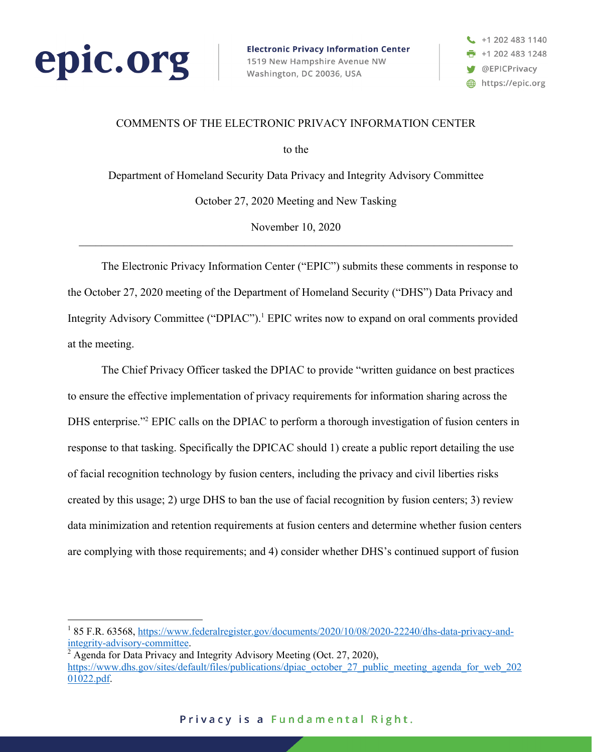

**Electronic Privacy Information Center** 1519 New Hampshire Avenue NW Washington, DC 20036, USA



### COMMENTS OF THE ELECTRONIC PRIVACY INFORMATION CENTER

to the

Department of Homeland Security Data Privacy and Integrity Advisory Committee October 27, 2020 Meeting and New Tasking

November 10, 2020

The Electronic Privacy Information Center ("EPIC") submits these comments in response to the October 27, 2020 meeting of the Department of Homeland Security ("DHS") Data Privacy and Integrity Advisory Committee ("DPIAC"). <sup>1</sup> EPIC writes now to expand on oral comments provided at the meeting.

The Chief Privacy Officer tasked the DPIAC to provide "written guidance on best practices to ensure the effective implementation of privacy requirements for information sharing across the DHS enterprise."<sup>2</sup> EPIC calls on the DPIAC to perform a thorough investigation of fusion centers in response to that tasking. Specifically the DPICAC should 1) create a public report detailing the use of facial recognition technology by fusion centers, including the privacy and civil liberties risks created by this usage; 2) urge DHS to ban the use of facial recognition by fusion centers; 3) review data minimization and retention requirements at fusion centers and determine whether fusion centers are complying with those requirements; and 4) consider whether DHS's continued support of fusion

<sup>&</sup>lt;sup>1</sup> 85 F.R. 63568, https://www.federalregister.gov/documents/2020/10/08/2020-22240/dhs-data-privacy-and-integrity-advisory-committee.

<sup>&</sup>lt;sup>2</sup> Agenda for Data Privacy and Integrity Advisory Meeting (Oct. 27, 2020), https://www.dhs.gov/sites/default/files/publications/dpiac\_october\_27\_public\_meeting\_agenda\_for\_web\_202 01022.pdf.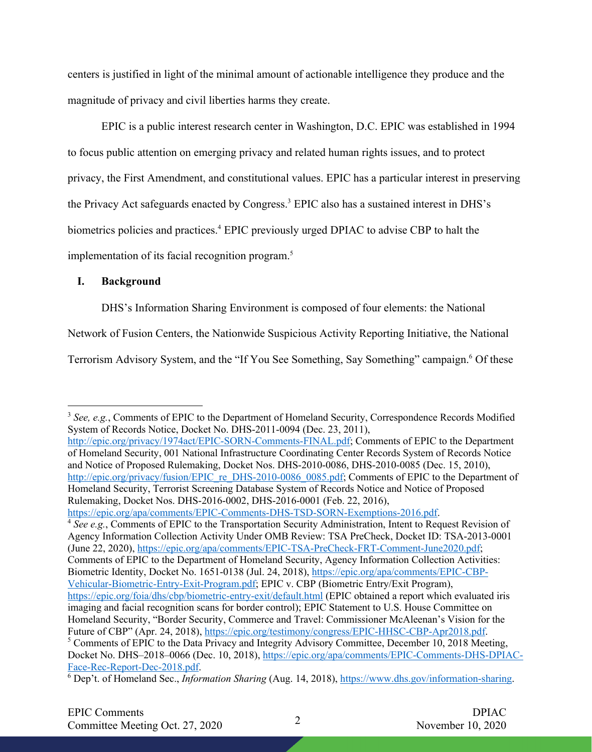centers is justified in light of the minimal amount of actionable intelligence they produce and the magnitude of privacy and civil liberties harms they create.

EPIC is a public interest research center in Washington, D.C. EPIC was established in 1994 to focus public attention on emerging privacy and related human rights issues, and to protect privacy, the First Amendment, and constitutional values. EPIC has a particular interest in preserving the Privacy Act safeguards enacted by Congress.3 EPIC also has a sustained interest in DHS's biometrics policies and practices.<sup>4</sup> EPIC previously urged DPIAC to advise CBP to halt the implementation of its facial recognition program.<sup>5</sup>

## **I. Background**

DHS's Information Sharing Environment is composed of four elements: the National

Network of Fusion Centers, the Nationwide Suspicious Activity Reporting Initiative, the National

Terrorism Advisory System, and the "If You See Something, Say Something" campaign.<sup>6</sup> Of these

https://epic.org/apa/comments/EPIC-Comments-DHS-TSD-SORN-Exemptions-2016.pdf. <sup>4</sup> See e.g., Comments of EPIC to the Transportation Security Administration, Intent to Request Revision of Agency Information Collection Activity Under OMB Review: TSA PreCheck, Docket ID: TSA-2013-0001 (June 22, 2020), https://epic.org/apa/comments/EPIC-TSA-PreCheck-FRT-Comment-June2020.pdf; Comments of EPIC to the Department of Homeland Security, Agency Information Collection Activities: Biometric Identity, Docket No. 1651-0138 (Jul. 24, 2018), https://epic.org/apa/comments/EPIC-CBP-Vehicular-Biometric-Entry-Exit-Program.pdf; EPIC v. CBP (Biometric Entry/Exit Program), https://epic.org/foia/dhs/cbp/biometric-entry-exit/default.html (EPIC obtained a report which evaluated iris imaging and facial recognition scans for border control); EPIC Statement to U.S. House Committee on Homeland Security, "Border Security, Commerce and Travel: Commissioner McAleenan's Vision for the Future of CBP" (Apr. 24, 2018), https://epic.org/testimony/congress/EPIC-HHSC-CBP-Apr2018.pdf. <sup>5</sup> Comments of EPIC to the Data Privacy and Integrity Advisory Committee, December 10, 2018 Meeting, Docket No. DHS–2018–0066 (Dec. 10, 2018), https://epic.org/apa/comments/EPIC-Comments-DHS-DPIAC-

<sup>&</sup>lt;sup>3</sup> See, e.g., Comments of EPIC to the Department of Homeland Security, Correspondence Records Modified System of Records Notice, Docket No. DHS-2011-0094 (Dec. 23, 2011),

http://epic.org/privacy/1974act/EPIC-SORN-Comments-FINAL.pdf; Comments of EPIC to the Department of Homeland Security, 001 National Infrastructure Coordinating Center Records System of Records Notice and Notice of Proposed Rulemaking, Docket Nos. DHS-2010-0086, DHS-2010-0085 (Dec. 15, 2010), http://epic.org/privacy/fusion/EPIC\_re\_DHS-2010-0086\_0085.pdf; Comments of EPIC to the Department of Homeland Security, Terrorist Screening Database System of Records Notice and Notice of Proposed Rulemaking, Docket Nos. DHS-2016-0002, DHS-2016-0001 (Feb. 22, 2016),

Face-Rec-Report-Dec-2018.pdf. 6 Dep't. of Homeland Sec., *Information Sharing* (Aug. 14, 2018), https://www.dhs.gov/information-sharing.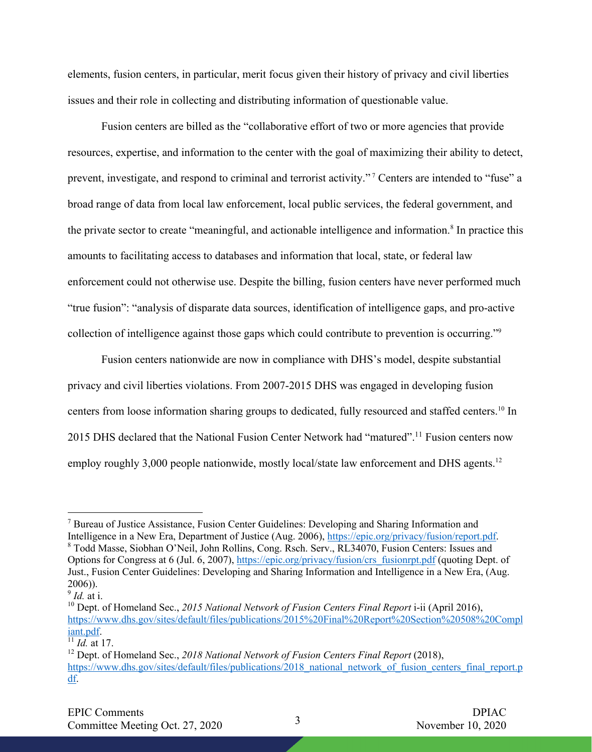elements, fusion centers, in particular, merit focus given their history of privacy and civil liberties issues and their role in collecting and distributing information of questionable value.

Fusion centers are billed as the "collaborative effort of two or more agencies that provide resources, expertise, and information to the center with the goal of maximizing their ability to detect, prevent, investigate, and respond to criminal and terrorist activity." <sup>7</sup> Centers are intended to "fuse" a broad range of data from local law enforcement, local public services, the federal government, and the private sector to create "meaningful, and actionable intelligence and information.<sup>8</sup> In practice this amounts to facilitating access to databases and information that local, state, or federal law enforcement could not otherwise use. Despite the billing, fusion centers have never performed much "true fusion": "analysis of disparate data sources, identification of intelligence gaps, and pro-active collection of intelligence against those gaps which could contribute to prevention is occurring."9

Fusion centers nationwide are now in compliance with DHS's model, despite substantial privacy and civil liberties violations. From 2007-2015 DHS was engaged in developing fusion centers from loose information sharing groups to dedicated, fully resourced and staffed centers.<sup>10</sup> In 2015 DHS declared that the National Fusion Center Network had "matured".<sup>11</sup> Fusion centers now employ roughly 3,000 people nationwide, mostly local/state law enforcement and DHS agents.<sup>12</sup>

<sup>7</sup> Bureau of Justice Assistance, Fusion Center Guidelines: Developing and Sharing Information and Intelligence in a New Era, Department of Justice (Aug. 2006), https://epic.org/privacy/fusion/report.pdf. <sup>8</sup> Todd Masse, Siobhan O'Neil, John Rollins, Cong. Rsch. Serv., RL34070, Fusion Centers: Issues and Options for Congress at 6 (Jul. 6, 2007), https://epic.org/privacy/fusion/crs\_fusionrpt.pdf (quoting Dept. of Just., Fusion Center Guidelines: Developing and Sharing Information and Intelligence in a New Era, (Aug. 2006)).

<sup>9</sup> *Id.* at i.

<sup>&</sup>lt;sup>10</sup> Dept. of Homeland Sec., 2015 National Network of Fusion Centers Final Report i-ii (April 2016), https://www.dhs.gov/sites/default/files/publications/2015%20Final%20Report%20Section%20508%20Compl iant.pdf.

 $\overline{11}$  *Id.* at 17.

<sup>12</sup> Dept. of Homeland Sec., *2018 National Network of Fusion Centers Final Report* (2018), https://www.dhs.gov/sites/default/files/publications/2018\_national\_network\_of\_fusion\_centers\_final\_report.p df.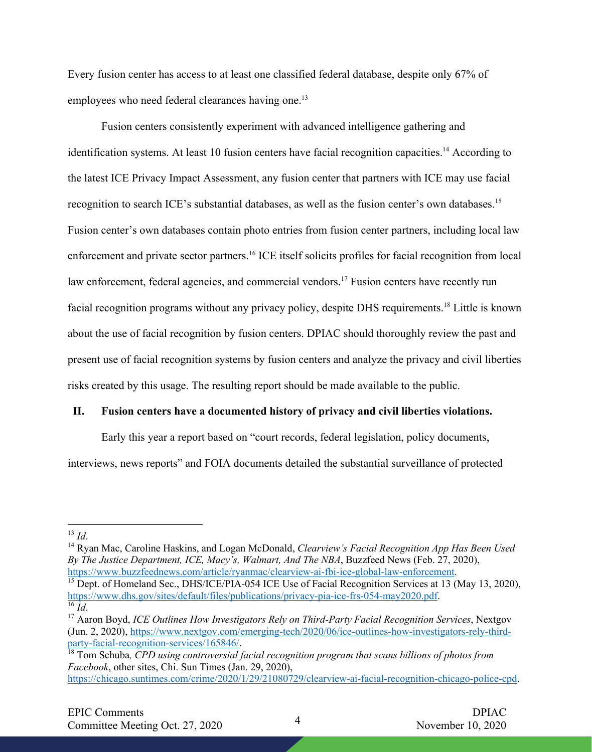Every fusion center has access to at least one classified federal database, despite only 67% of employees who need federal clearances having one.<sup>13</sup>

Fusion centers consistently experiment with advanced intelligence gathering and identification systems. At least 10 fusion centers have facial recognition capacities.<sup>14</sup> According to the latest ICE Privacy Impact Assessment, any fusion center that partners with ICE may use facial recognition to search ICE's substantial databases, as well as the fusion center's own databases.15 Fusion center's own databases contain photo entries from fusion center partners, including local law enforcement and private sector partners.16 ICE itself solicits profiles for facial recognition from local law enforcement, federal agencies, and commercial vendors.<sup>17</sup> Fusion centers have recently run facial recognition programs without any privacy policy, despite DHS requirements.<sup>18</sup> Little is known about the use of facial recognition by fusion centers. DPIAC should thoroughly review the past and present use of facial recognition systems by fusion centers and analyze the privacy and civil liberties risks created by this usage. The resulting report should be made available to the public.

# **II. Fusion centers have a documented history of privacy and civil liberties violations.**

Early this year a report based on "court records, federal legislation, policy documents, interviews, news reports" and FOIA documents detailed the substantial surveillance of protected

<sup>13</sup> *Id*.

<sup>14</sup> Ryan Mac, Caroline Haskins, and Logan McDonald, *Clearview's Facial Recognition App Has Been Used By The Justice Department, ICE, Macy's, Walmart, And The NBA*, Buzzfeed News (Feb. 27, 2020), https://www.buzzfeednews.com/article/ryanmac/clearview-ai-fbi-ice-global-law-enforcement.<br><sup>15</sup> Dept. of Homeland Sec., DHS/ICE/PIA-054 ICE Use of Facial Recognition Services at 13 (May 13, 2020),

https://www.dhs.gov/sites/default/files/publications/privacy-pia-ice-frs-054-may2020.pdf. 16 *Id*. 17 Aaron Boyd, *ICE Outlines How Investigators Rely on Third-Party Facial Recognition Services*, Nextgov

<sup>(</sup>Jun. 2, 2020), https://www.nextgov.com/emerging-tech/2020/06/ice-outlines-how-investigators-rely-thirdparty-facial-recognition-services/165846/.

<sup>18</sup> Tom Schuba*, CPD using controversial facial recognition program that scans billions of photos from Facebook*, other sites, Chi. Sun Times (Jan. 29, 2020),

https://chicago.suntimes.com/crime/2020/1/29/21080729/clearview-ai-facial-recognition-chicago-police-cpd.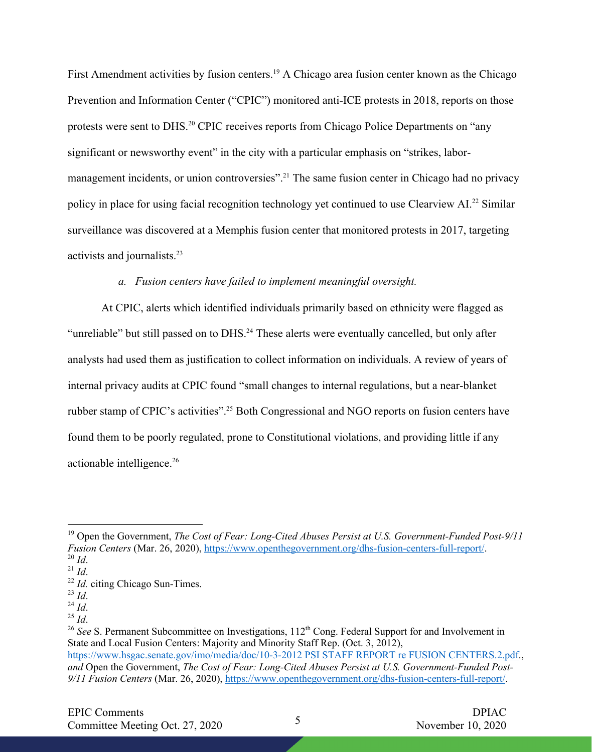First Amendment activities by fusion centers.<sup>19</sup> A Chicago area fusion center known as the Chicago Prevention and Information Center ("CPIC") monitored anti-ICE protests in 2018, reports on those protests were sent to DHS.<sup>20</sup> CPIC receives reports from Chicago Police Departments on "any significant or newsworthy event" in the city with a particular emphasis on "strikes, labormanagement incidents, or union controversies".<sup>21</sup> The same fusion center in Chicago had no privacy policy in place for using facial recognition technology yet continued to use Clearview AI.22 Similar surveillance was discovered at a Memphis fusion center that monitored protests in 2017, targeting activists and journalists.23

# *a. Fusion centers have failed to implement meaningful oversight.*

At CPIC, alerts which identified individuals primarily based on ethnicity were flagged as "unreliable" but still passed on to DHS.<sup>24</sup> These alerts were eventually cancelled, but only after analysts had used them as justification to collect information on individuals. A review of years of internal privacy audits at CPIC found "small changes to internal regulations, but a near-blanket rubber stamp of CPIC's activities".<sup>25</sup> Both Congressional and NGO reports on fusion centers have found them to be poorly regulated, prone to Constitutional violations, and providing little if any actionable intelligence.<sup>26</sup>

<sup>19</sup> Open the Government, *The Cost of Fear: Long-Cited Abuses Persist at U.S. Government-Funded Post-9/11 Fusion Centers* (Mar. 26, 2020), https://www.openthegovernment.org/dhs-fusion-centers-full-report/.<br><sup>20</sup> *Id.* 

<sup>21</sup> *Id*.

<sup>&</sup>lt;sup>22</sup> *Id.* citing Chicago Sun-Times.

<sup>23</sup> *Id*.

 $\frac{^{24}}{^{25}}$  *Id.* 

<sup>&</sup>lt;sup>26</sup> *See* S. Permanent Subcommittee on Investigations, 112<sup>th</sup> Cong. Federal Support for and Involvement in State and Local Fusion Centers: Majority and Minority Staff Rep. (Oct. 3, 2012), https://www.hsgac.senate.gov/imo/media/doc/10-3-2012 PSI STAFF REPORT re FUSION CENTERS.2.pdf., *and* Open the Government, *The Cost of Fear: Long-Cited Abuses Persist at U.S. Government-Funded Post-9/11 Fusion Centers* (Mar. 26, 2020), https://www.openthegovernment.org/dhs-fusion-centers-full-report/.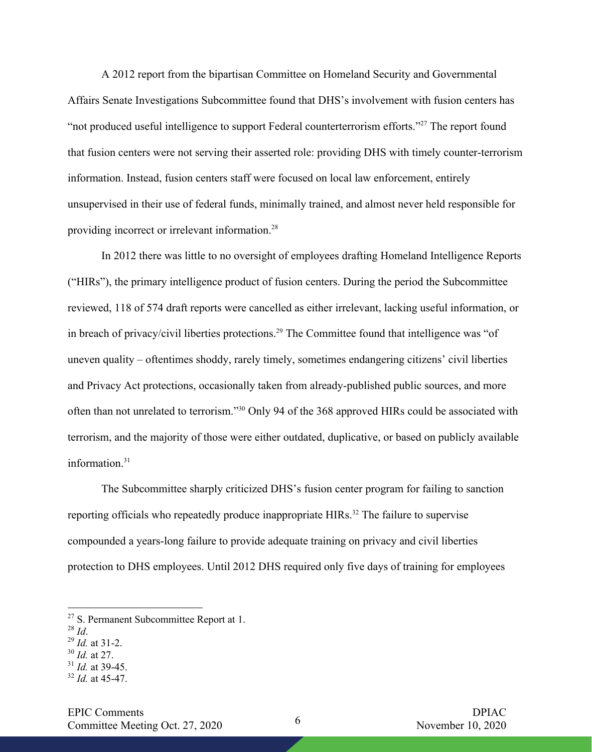A 2012 report from the bipartisan Committee on Homeland Security and Governmental Affairs Senate Investigations Subcommittee found that DHS's involvement with fusion centers has "not produced useful intelligence to support Federal counterterrorism efforts."27 The report found that fusion centers were not serving their asserted role: providing DHS with timely counter-terrorism information. Instead, fusion centers staff were focused on local law enforcement, entirely unsupervised in their use of federal funds, minimally trained, and almost never held responsible for providing incorrect or irrelevant information.28

In 2012 there was little to no oversight of employees drafting Homeland Intelligence Reports ("HIRs"), the primary intelligence product of fusion centers. During the period the Subcommittee reviewed, 118 of 574 draft reports were cancelled as either irrelevant, lacking useful information, or in breach of privacy/civil liberties protections.<sup>29</sup> The Committee found that intelligence was "of uneven quality – oftentimes shoddy, rarely timely, sometimes endangering citizens' civil liberties and Privacy Act protections, occasionally taken from already-published public sources, and more often than not unrelated to terrorism."30 Only 94 of the 368 approved HIRs could be associated with terrorism, and the majority of those were either outdated, duplicative, or based on publicly available information.<sup>31</sup>

The Subcommittee sharply criticized DHS's fusion center program for failing to sanction reporting officials who repeatedly produce inappropriate HIRs.<sup>32</sup> The failure to supervise compounded a years-long failure to provide adequate training on privacy and civil liberties protection to DHS employees. Until 2012 DHS required only five days of training for employees

- <sup>28</sup> *Id*.
- <sup>29</sup> *Id.* at 31-2.
- <sup>30</sup> *Id.* at 27.
- <sup>31</sup> *Id.* at 39-45.
- <sup>32</sup> *Id.* at 45-47.

<sup>&</sup>lt;sup>27</sup> S. Permanent Subcommittee Report at 1.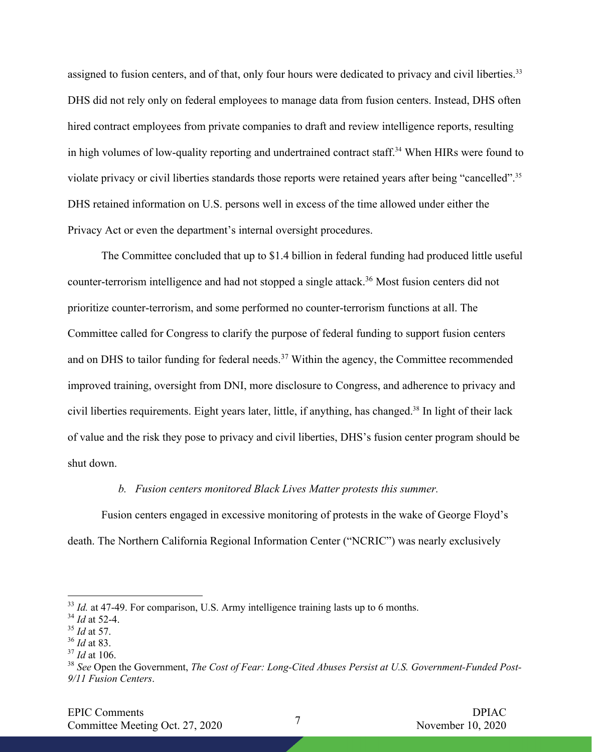assigned to fusion centers, and of that, only four hours were dedicated to privacy and civil liberties.<sup>33</sup> DHS did not rely only on federal employees to manage data from fusion centers. Instead, DHS often hired contract employees from private companies to draft and review intelligence reports, resulting in high volumes of low-quality reporting and undertrained contract staff.<sup>34</sup> When HIRs were found to violate privacy or civil liberties standards those reports were retained years after being "cancelled".35 DHS retained information on U.S. persons well in excess of the time allowed under either the Privacy Act or even the department's internal oversight procedures.

The Committee concluded that up to \$1.4 billion in federal funding had produced little useful counter-terrorism intelligence and had not stopped a single attack.36 Most fusion centers did not prioritize counter-terrorism, and some performed no counter-terrorism functions at all. The Committee called for Congress to clarify the purpose of federal funding to support fusion centers and on DHS to tailor funding for federal needs.<sup>37</sup> Within the agency, the Committee recommended improved training, oversight from DNI, more disclosure to Congress, and adherence to privacy and civil liberties requirements. Eight years later, little, if anything, has changed. <sup>38</sup> In light of their lack of value and the risk they pose to privacy and civil liberties, DHS's fusion center program should be shut down.

### *b. Fusion centers monitored Black Lives Matter protests this summer.*

Fusion centers engaged in excessive monitoring of protests in the wake of George Floyd's death. The Northern California Regional Information Center ("NCRIC") was nearly exclusively

<sup>&</sup>lt;sup>33</sup> *Id.* at 47-49. For comparison, U.S. Army intelligence training lasts up to 6 months.

<sup>34</sup> *Id* at 52-4.

<sup>35</sup> *Id* at 57.

<sup>36</sup> *Id* at 83.

<sup>37</sup> *Id* at 106.

<sup>38</sup> *See* Open the Government, *The Cost of Fear: Long-Cited Abuses Persist at U.S. Government-Funded Post-9/11 Fusion Centers*.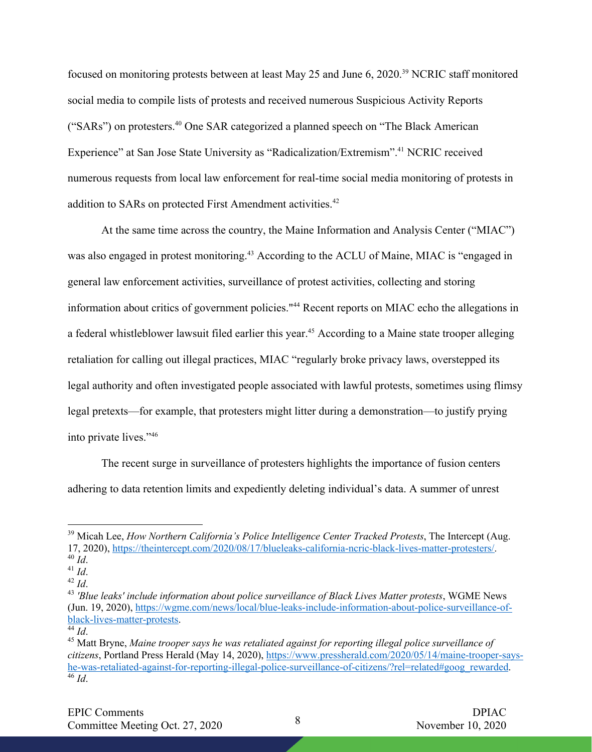focused on monitoring protests between at least May 25 and June 6, 2020.<sup>39</sup> NCRIC staff monitored social media to compile lists of protests and received numerous Suspicious Activity Reports ("SARs") on protesters.40 One SAR categorized a planned speech on "The Black American Experience" at San Jose State University as "Radicalization/Extremism".<sup>41</sup> NCRIC received numerous requests from local law enforcement for real-time social media monitoring of protests in addition to SARs on protected First Amendment activities.<sup>42</sup>

At the same time across the country, the Maine Information and Analysis Center ("MIAC") was also engaged in protest monitoring. <sup>43</sup> According to the ACLU of Maine, MIAC is "engaged in general law enforcement activities, surveillance of protest activities, collecting and storing information about critics of government policies."44 Recent reports on MIAC echo the allegations in a federal whistleblower lawsuit filed earlier this year.<sup>45</sup> According to a Maine state trooper alleging retaliation for calling out illegal practices, MIAC "regularly broke privacy laws, overstepped its legal authority and often investigated people associated with lawful protests, sometimes using flimsy legal pretexts—for example, that protesters might litter during a demonstration—to justify prying into private lives."46

The recent surge in surveillance of protesters highlights the importance of fusion centers adhering to data retention limits and expediently deleting individual's data. A summer of unrest

<sup>&</sup>lt;sup>39</sup> Micah Lee, *How Northern California's Police Intelligence Center Tracked Protests*, The Intercept (Aug. 17, 2020), https://theintercept.com/2020/08/17/blueleaks-california-ncric-black-lives-matter-protesters/. <sup>40</sup> *Id*.

<sup>41</sup> *Id*.

<sup>42</sup> *Id*.

<sup>43</sup> *'Blue leaks' include information about police surveillance of Black Lives Matter protests*, WGME News (Jun. 19, 2020), https://wgme.com/news/local/blue-leaks-include-information-about-police-surveillance-ofblack-lives-matter-protests. 44 *Id*.

<sup>45</sup> Matt Bryne, *Maine trooper says he was retaliated against for reporting illegal police surveillance of citizens*, Portland Press Herald (May 14, 2020), https://www.pressherald.com/2020/05/14/maine-trooper-sayshe-was-retaliated-against-for-reporting-illegal-police-surveillance-of-citizens/?rel=related#goog\_rewarded. 46 *Id*.